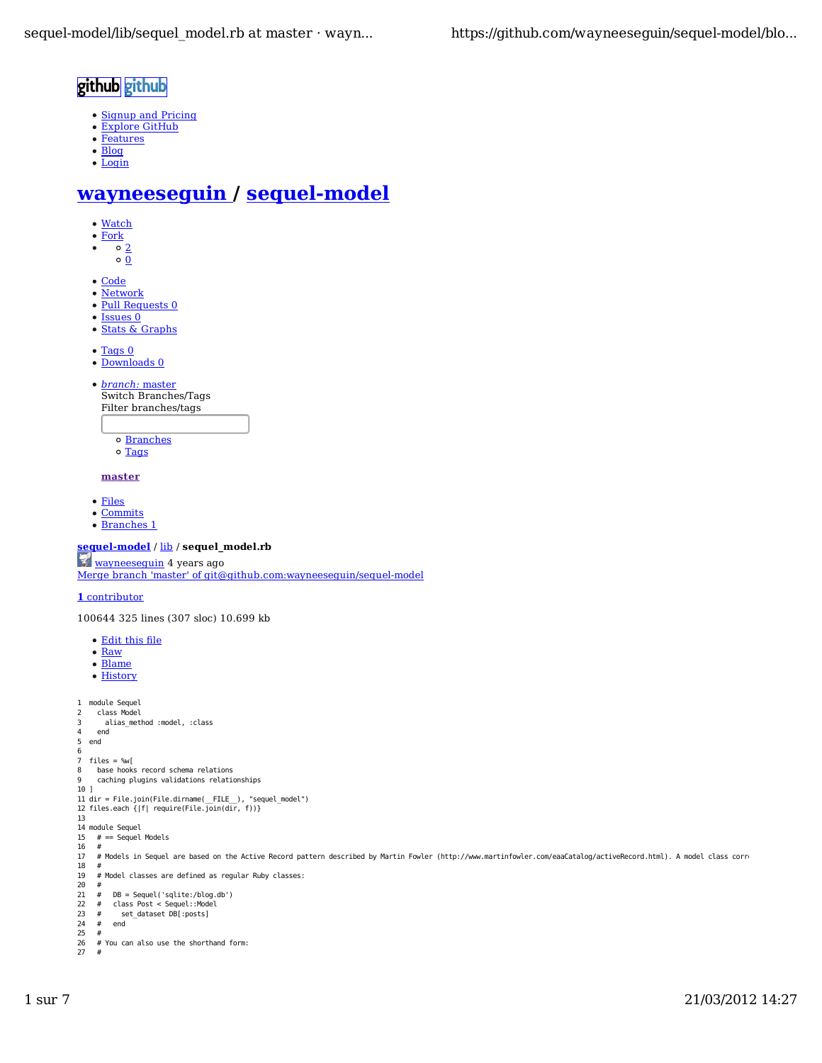## github github

- Signup and Pricing
- Explore GitHub
- Features
- Blog  $\bullet$  Login

# **wayneeseguin / sequel-model**

- Watch
- Fork
- $\frac{1}{\circ}$ <sub>2</sub>  $\bullet$
- $\circ \overline{0}$
- Code
- Network
- Pull Requests 0
- Issues 0
- Stats & Graphs
- Tags 0
- Downloads 0
- *branch:* master Switch Branches/Tags Filter branches/tags
	- Branches
	- o Tags

#### **master**

- Files
- Commits
- Branches 1

## **sequel-model** / lib / **sequel\_model.rb**

wayneeseguin 4 years ago Merge branch 'master' of git@github.com:wayneeseguin/sequel-model

### **1** contributor

100644 325 lines (307 sloc) 10.699 kb

- Edit this file
- Raw
- Blame
- History

```
1
module Sequel
```

```
2
3
4
5
6
7
8
9
10
]
11
12
dir = File.join(File.dirname(__FILE__), "sequel_model")
files.each {|f| require(File.join(dir, f))}
13
14
module Sequel
\overline{15}16
17
18
19
20
21
\overline{22}23
24
25
26
27
     class Model
        alias_method :model, :class
     end
   end
  files = %w[
    base hooks record schema relations 
      caching plugins validations relationships
    # = Sequel Models
     # 
     # Models in Sequel are based on the Active Record pattern described by Martin Fowler (http://www.martinfowler.com/eaaCatalog/activeRecord.html). A model class corresp
     # 
     # Model classes are defined as regular Ruby classes:
      # 
     # DB = Sequel('sqlite:/blog.db')
 # class Post < Sequel::Model
     # set_dataset DB[:posts]
        end
     # 
     # You can also use the shorthand form:
     #
```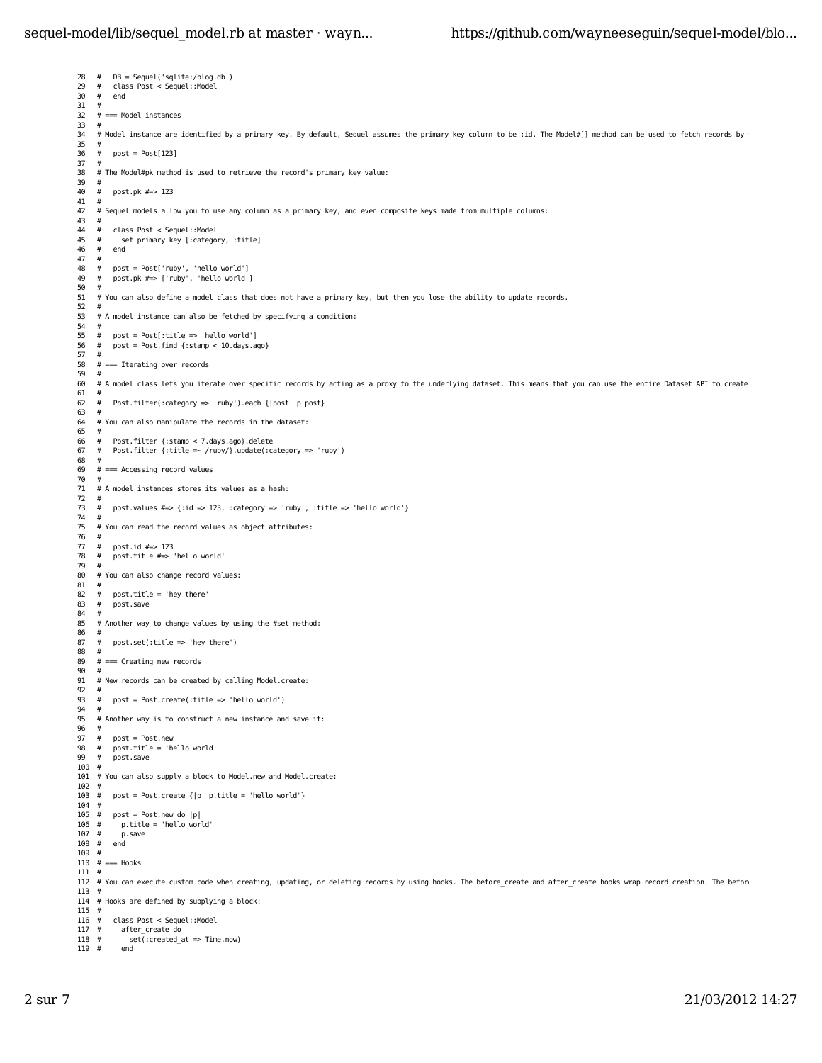## sequel-model/lib/sequel\_model.rb at master · wayn... https://github.com/wayneeseguin/sequel-model/blo...

28 # DB = Sequel('sqlite:/blog.db') 29 30 31 32 33 34 35 36 37 38 39 40 41 42 43 44 45 46  $47$ 48 49 50 51 52 53 54 55 56 57 58 59 60 61 62 63 64 65 66 67 68 69 70 71 72 73 74 75 76 77 78 79 80 81 82 83 84 85 86 87 88 89 90 91 **92** 93 94 95 96 97 98 99 100 # 101 # You can also supply a block to Model.new and Model.create: 102 # 103 # post = Post.create {|p| p.title = 'hello world'} 104 # 105 # post = Post.new do |p| 106 107 108  $\#$ 109 # 110 # === Hooks 111 # 112 # You can execute custom code when creating, updating, or deleting records by using hooks. The before create and after create hooks wrap record creation. The before 113 # 114 # Hooks are defined by supplying a block: 115 # 116 # class Post < Sequel::Model  $117 +$ 118 119  $#$  # class Post < Sequel::Model end # # === Model instances # # Model instance are identified by a primary key. By default, Sequel assumes the primary key column to be :id. The Model#[] method can be used to fetch records by the #  $#$  post = Post[123] # # The Model#pk method is used to retrieve the record's primary key value: # post.pk #=> 123 # # Sequel models allow you to use any column as a primary key, and even composite keys made from multiple columns:  $\frac{\#}{\#}$  # class Post < Sequel::Model # set\_primary\_key [:category, :title] # end # # post = Post['ruby', 'hello world'] # post.pk #=> ['ruby', 'hello world'] # # You can also define a model class that does not have a primary key, but then you lose the ability to update records. # # A model instance can also be fetched by specifying a condition: # # post = Post[:title => 'hello world'] # post = Post.find {:stamp < 10.days.ago} # # === Iterating over records # # A model class lets you iterate over specific records by acting as a proxy to the underlying dataset. This means that you can use the entire Dataset API to create # # Post.filter(:category => 'ruby').each {|post| p post} # # You can also manipulate the records in the dataset: # # Post.filter {:stamp < 7.days.ago}.delete # Post.filter {:title =~ /ruby/}.update(:category => 'ruby') #  $# ==$  Accessing record values # # A model instances stores its values as a hash: # # post.values #=> {:id => 123, :category => 'ruby', :title => 'hello world'} # # You can read the record values as object attributes: # # post.id #=> 123 # post.title #=> 'hello world' # # You can also change record values: # # post.title = 'hey there' # post.save # # Another way to change values by using the #set method: # # post.set(:title => 'hey there') # # === Creating new records # # New records can be created by calling Model.create: # # post = Post.create(:title => 'hello world') # # Another way is to construct a new instance and save it: # # post = Post.new # post.title = 'hello world' # post.save  $p.title = 'hello world'$ p.save end after create do  $set(\text{:created\_at} \Rightarrow \text{Time.now})$ end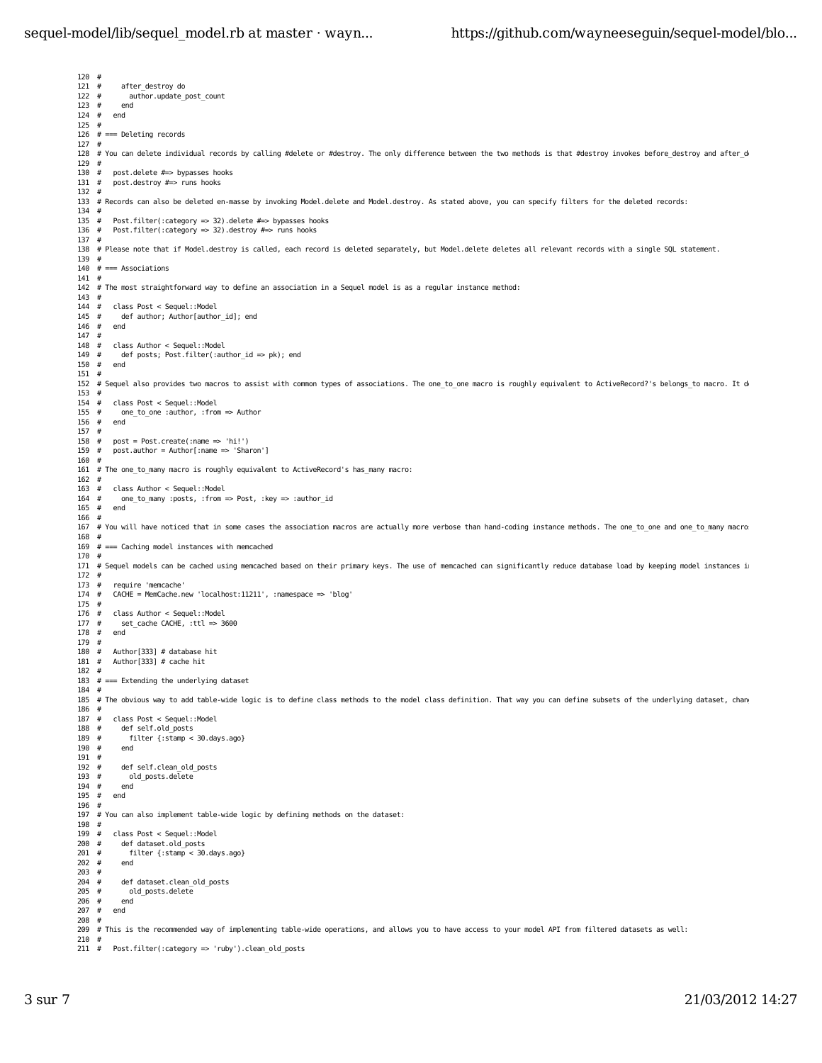### sequel-model/lib/sequel\_model.rb at master · wayn... https://github.com/wayneeseguin/sequel-model/blo...

120 #  $121#$ 122 123  $124$  # 125 # 126 # === Deleting records 127 # 128 # You can delete individual records by calling #delete or #destroy. The only difference between the two methods is that #destroy invokes before destroy and after de 129 # 130 131 132 # 133 # Records can also be deleted en-masse by invoking Model.delete and Model.destroy. As stated above, you can specify filters for the deleted records: 134 #  $135 +$  $136$  # 137 # 138 # Please note that if Model.destroy is called, each record is deleted separately, but Model.delete deletes all relevant records with a single SQL statement. 139 140 # === Associations 141 # 142 # The most straightforward way to define an association in a Sequel model is as a regular instance method: 143 # 144 # class Post < Sequel::Model  $145 +$  $146$  # 147 # 148 # 149 # 150 151 # 152 # Sequel also provides two macros to assist with common types of associations. The one to one macro is roughly equivalent to ActiveRecord?'s belongs to macro. It de 153 # 154  $155 +$ 156 157 # 158  $159#$ 160 # 161 # The one to many macro is roughly equivalent to ActiveRecord's has many macro: 162 #  $163$  # 164 165 # 166 # 167 # You will have noticed that in some cases the association macros are actually more verbose than hand-coding instance methods. The one\_to\_one and one\_to\_many macros a 168 # 169 # === Caching model instances with memcached 170 # 171 # Sequel models can be cached using memcached based on their primary keys. The use of memcached can significantly reduce database load by keeping model instances in m 172 # 173 174 # CACHE = MemCache.new 'localhost:11211', :namespace => 'blog' 175 #  $176$  # 177  $178 +$ 179 # 180 # Author[333] # database hit 181 # Author[333] # cache hit 182 # 183 # === Extending the underlying dataset 184 # 185 # The obvious way to add table-wide logic is to define class methods to the model class definition. That way you can define subsets of the underlying dataset, change 186 # 187 # class Post < Sequel::Model 188 189 190 191 # 192 193 194 # end 195 196 # 197 # You can also implement table-wide logic by defining methods on the dataset: 198 # 199 200 201 202 # 203 # 204 205 # 206 207 # end 208 # 209 # This is the recommended way of implementing table-wide operations, and allows you to have access to your model API from filtered datasets as well: 210 # 211 after destroy do # author.update\_post\_count end end post.delete  $# \Rightarrow$  bypasses hooks post.destroy #=> runs hooks Post.filter(:category => 32).delete #=> bypasses hooks Post.filter(:category => 32).destroy  $\# \Rightarrow$  runs hooks # def author: Author[author\_id]; end end # class Author < Sequel::Model def posts; Post.filter(:author\_id => pk); end end # class Post < Sequel::Model one to one :author, :from => Author end post = Post.create(:name => 'hi!') post.author = Author[:name => 'Sharon'] class Author < Sequel::Model one\_to\_many :posts, :from => Post, :key => :author\_id end require 'memcache class Author < Sequel::Model set\_cache CACHE, :ttl => 3600 # end def self.old\_posts filter {:stamp < 30.days.ago} end def self.clean\_old\_posts old posts.delete end # class Post < Sequel::Model def dataset.old\_posts filter {:stamp < 30.days.ago} end def dataset.clean\_old\_posts old\_posts.delete end<br>end Post.filter(:category => 'ruby').clean\_old\_posts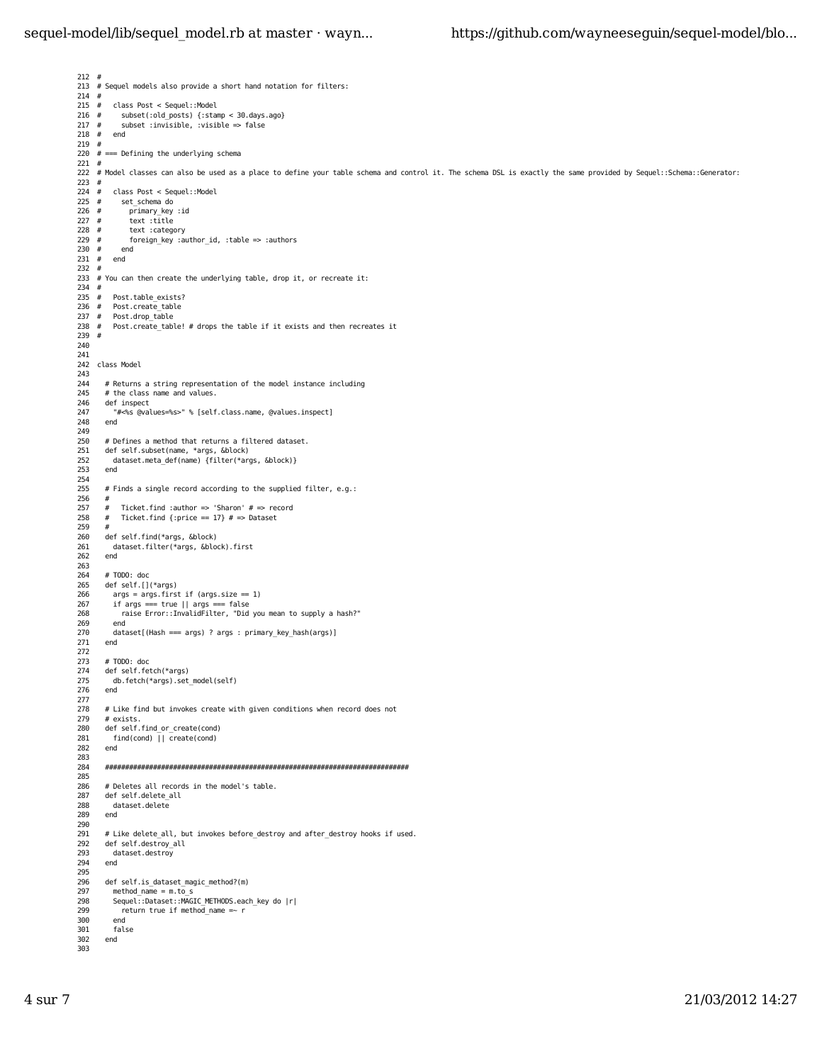```
212
 # 
213
 # Sequel models also provide a short hand notation for filters:
214
215
216 #
217 #
218
219
 # 
220
 # === Defining the underlying schema
221
 # 
222
 # Model classes can also be used as a place to define your table schema and control it. The schema DSL is exactly the same provided by Sequel::Schema::Generator:
223
 # 
224 #
225 #
226 #
227 #
228 #
229 #
230 #
231
232
 # 
233
 # You can then create the underlying table, drop it, or recreate it:
234
 # 
235
236
237 +238
239
 # 
240
241
242

 class Model
243
244
245
246
247
248
249
250
251
252
253
254

255
256
257
258
259
 #
260
261
262
263

264
265
266
267
268
269
270
271
272

273
274
275
276
277
278
279
280
281
282
283
284
285
286
287
288
289
290
291
292
293
294
295

296
297
298
299
300
301
302
303

      # 
         # class Post < Sequel::Model
            # subset(:old_posts) {:stamp < 30.days.ago}
           subset : invisible, : visible => false
        end
         # class Post < Sequel::Model
          set_schema do
            \bar{\text{primary}} key :id
             text :title
            text :category
            foreign_key :author_id, :table => :authors
          end
        end
         Post.table_exists?
         Post.create_table
        Post.drop_table
         Post.create_table! # drops the table if it exists and then recreates it
        # Returns a string representation of the model instance including
        # the class name and values.
        def inspect
           "#<%s @values=%s>" % [self.class.name, @values.inspect]
        end
    # Defines a method that returns a filtered dataset.
 def self.subset(name, *args, &block)
          dataset.meta_def(name) {filter(*args, &block)}
        end
       # Finds a single record according to the supplied filter, e.g.:
        #
       # Ticket.find :author \Rightarrow 'Sharon' # \Rightarrow record<br># Ticket.find {:price == 17} # \Rightarrow Dataset
          Ticket.find {:price == 17} # =& Dataset def self.find(*args, &block)
          dataset.filter(*args, &block).first
        end
        # TODO: doc
        def self.[](*args)
         args = args.first if (args.size == 1) if args === true || args === false
 raise Error::InvalidFilter, "Did you mean to supply a hash?"
          end
          dataset[(Hash === args) ? args : primary_key_hash(args)]
        end
    # TODO: doc
 def self.fetch(*args)
          db.fetch(*args).set_model(self)
        end
        # Like find but invokes create with given conditions when record does not
        # exists.
        def self.find_or_create(cond)
          find(cond) || create(cond)
        end
        ############################################################################
        # Deletes all records in the model's table.
        def self.delete_all
         dataset.delete
        end
        # Like delete_all, but invokes before_destroy and after_destroy hooks if used.
        def self.destroy_all
          dataset.destroy
        end
        def self.is_dataset_magic_method?(m)
         method name = m.to s
          Sequel::Dataset::MAGIC_METHODS.each_key do |r|
            return true if method_name =~ r
          end
          false
        end
```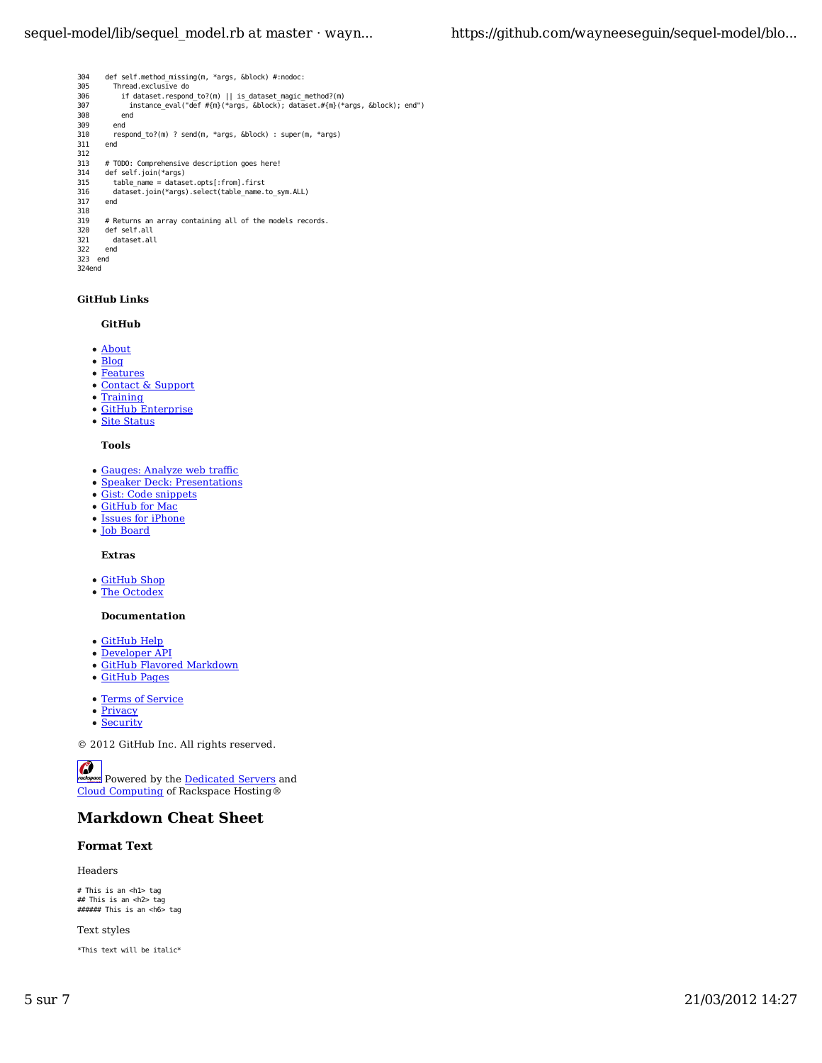```
304
305
306
307
308
309
310
311
312313
314
315
316
317
318

319
320
321
322
323
 end
        def self.method_missing(m, *args, &block) #:nodoc:
          Thread.exclusive do
            if dataset.respond_to?(m) || is_dataset_magic_method?(m)
              instance_eval("def #{m}(*args, &block); dataset.#{m}(*args, &block); end")
            end
          end
          respond_to?(m) ? send(m, *args, &block) : super(m, *args)
        end
       # TODO: Comprehensive description goes here!
        def self.join(*args)
    table_name = dataset.opts[:from].first
 dataset.join(*args).select(table_name.to_sym.ALL)
        end
       # Returns an array containing all of the models records.
        def self.all
         dataset.all
       end
```
#### 324 end

#### **GitHub Links**

## **GitHub**

- About
- Blog
- Features
- Contact & Support
- **Training**
- GitHub Enterprise
- Site Status

#### **Tools**

- Gauges: Analyze web traffic
- **Speaker Deck: Presentations**
- Gist: Code snippets
- GitHub for Mac
- Issues for iPhone
- Job Board

#### **Extras**

- GitHub Shop
- The Octodex

#### **Documentation**

- GitHub Help
- Developer API
- GitHub Flavored Markdown
- GitHub Pages
- Terms of Service
- Privacy
- Security

© 2012 GitHub Inc. All rights reserved.

 $\mathcal C$ 

**Powered by the Dedicated Servers and** Cloud Computing of Rackspace Hosting®

## **Markdown Cheat Sheet**

#### **Format Text**

Headers

# This is an <h1> tag ## This is an <h2> tag ###### This is an <h6> tag

Text styles

\*This text will be italic\*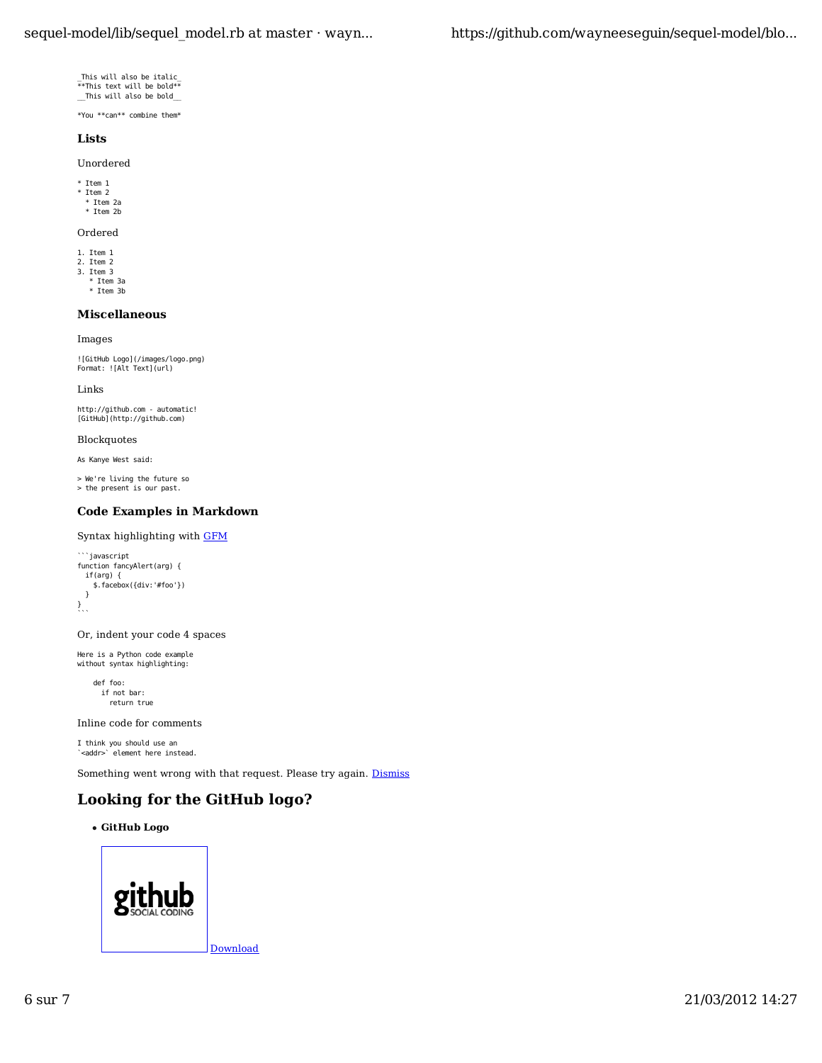```
_This will also be italic_<br>**This text will be bold**<br>__This will also be bold_
```
\*You \*\*can\*\* combine them\*

## **Lists**

Unordered

\* Item 1 \* Item 2

\* Item 2a \* Item 2b

#### Ordered

1. Item 1 2. Item 2

3. Item 3 \* Item 3a

\* Item 3b

## **Miscellaneous**

Images

![GitHub Logo](/images/logo.png) Format: ![Alt Text](url)

Links

http://github.com - automatic! [GitHub](http://github.com)

Blockquotes

As Kanye West said:

> We're living the future so > the present is our past.

## **Code Examples in Markdown**

Syntax highlighting with GFM

```
```javascript
function fancyAlert(arg) {
  if(arg) {
    $.facebox({div:'#foo'})
  }
}
```
```
Or, indent your code 4 spaces

```
Here is a Python code example
without syntax highlighting:
```
 def foo: if not bar: return true

Inline code for comments

I think you should use an `<addr>` element here instead.

Something went wrong with that request. Please try again. **Dismiss** 

## **Looking for the GitHub logo?**

**GitHub Logo**